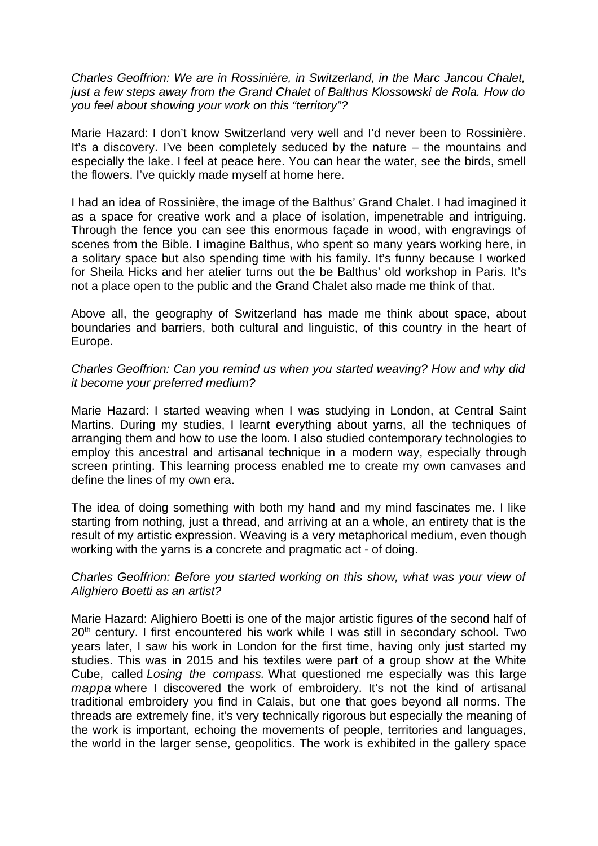*Charles Geoffrion: We are in Rossinière, in Switzerland, in the Marc Jancou Chalet, just a few steps away from the Grand Chalet of Balthus Klossowski de Rola. How do you feel about showing your work on this "territory"?* 

Marie Hazard: I don't know Switzerland very well and I'd never been to Rossinière. It's a discovery. I've been completely seduced by the nature – the mountains and especially the lake. I feel at peace here. You can hear the water, see the birds, smell the flowers. I've quickly made myself at home here.

I had an idea of Rossinière, the image of the Balthus' Grand Chalet. I had imagined it as a space for creative work and a place of isolation, impenetrable and intriguing. Through the fence you can see this enormous façade in wood, with engravings of scenes from the Bible. I imagine Balthus, who spent so many years working here, in a solitary space but also spending time with his family. It's funny because I worked for Sheila Hicks and her atelier turns out the be Balthus' old workshop in Paris. It's not a place open to the public and the Grand Chalet also made me think of that.

Above all, the geography of Switzerland has made me think about space, about boundaries and barriers, both cultural and linguistic, of this country in the heart of Europe.

# *Charles Geoffrion: Can you remind us when you started weaving? How and why did it become your preferred medium?*

Marie Hazard: I started weaving when I was studying in London, at Central Saint Martins. During my studies, I learnt everything about yarns, all the techniques of arranging them and how to use the loom. I also studied contemporary technologies to employ this ancestral and artisanal technique in a modern way, especially through screen printing. This learning process enabled me to create my own canvases and define the lines of my own era.

The idea of doing something with both my hand and my mind fascinates me. I like starting from nothing, just a thread, and arriving at an a whole, an entirety that is the result of my artistic expression. Weaving is a very metaphorical medium, even though working with the yarns is a concrete and pragmatic act - of doing.

# *Charles Geoffrion: Before you started working on this show, what was your view of Alighiero Boetti as an artist?*

Marie Hazard: Alighiero Boetti is one of the major artistic figures of the second half of  $20<sup>th</sup>$  century. I first encountered his work while I was still in secondary school. Two years later, I saw his work in London for the first time, having only just started my studies. This was in 2015 and his textiles were part of a group show at the White Cube, called *Losing the compass.* What questioned me especially was this large *mappa* where I discovered the work of embroidery. It's not the kind of artisanal traditional embroidery you find in Calais, but one that goes beyond all norms. The threads are extremely fine, it's very technically rigorous but especially the meaning of the work is important, echoing the movements of people, territories and languages, the world in the larger sense, geopolitics. The work is exhibited in the gallery space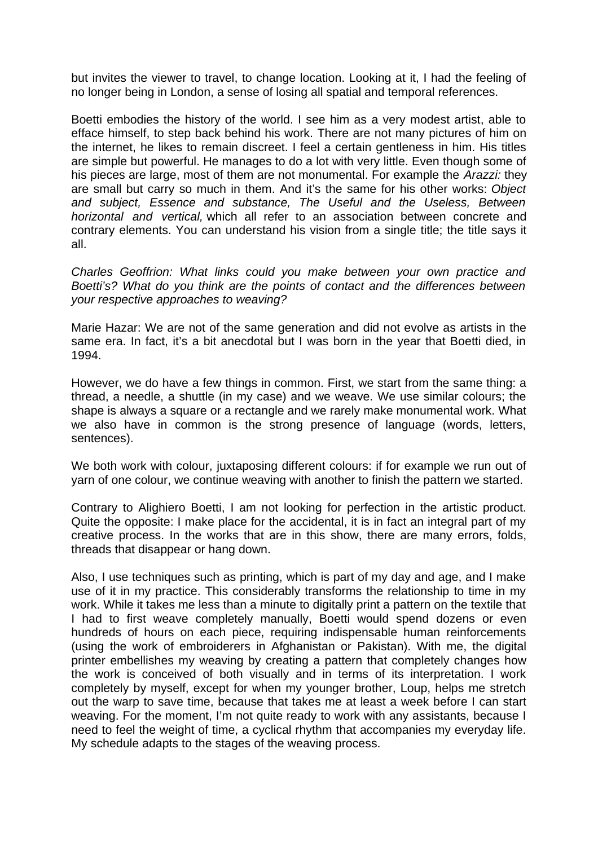but invites the viewer to travel, to change location. Looking at it, I had the feeling of no longer being in London, a sense of losing all spatial and temporal references.

Boetti embodies the history of the world. I see him as a very modest artist, able to efface himself, to step back behind his work. There are not many pictures of him on the internet, he likes to remain discreet. I feel a certain gentleness in him. His titles are simple but powerful. He manages to do a lot with very little. Even though some of his pieces are large, most of them are not monumental. For example the *Arazzi:* they are small but carry so much in them. And it's the same for his other works: *Object and subject, Essence and substance, The Useful and the Useless, Between horizontal and vertical,* which all refer to an association between concrete and contrary elements. You can understand his vision from a single title; the title says it all.

*Charles Geoffrion: What links could you make between your own practice and Boetti's? What do you think are the points of contact and the differences between your respective approaches to weaving?* 

Marie Hazar: We are not of the same generation and did not evolve as artists in the same era. In fact, it's a bit anecdotal but I was born in the year that Boetti died, in 1994.

However, we do have a few things in common. First, we start from the same thing: a thread, a needle, a shuttle (in my case) and we weave. We use similar colours; the shape is always a square or a rectangle and we rarely make monumental work. What we also have in common is the strong presence of language (words, letters, sentences).

We both work with colour, juxtaposing different colours: if for example we run out of yarn of one colour, we continue weaving with another to finish the pattern we started.

Contrary to Alighiero Boetti, I am not looking for perfection in the artistic product. Quite the opposite: I make place for the accidental, it is in fact an integral part of my creative process. In the works that are in this show, there are many errors, folds, threads that disappear or hang down.

Also, I use techniques such as printing, which is part of my day and age, and I make use of it in my practice. This considerably transforms the relationship to time in my work. While it takes me less than a minute to digitally print a pattern on the textile that I had to first weave completely manually, Boetti would spend dozens or even hundreds of hours on each piece, requiring indispensable human reinforcements (using the work of embroiderers in Afghanistan or Pakistan). With me, the digital printer embellishes my weaving by creating a pattern that completely changes how the work is conceived of both visually and in terms of its interpretation. I work completely by myself, except for when my younger brother, Loup, helps me stretch out the warp to save time, because that takes me at least a week before I can start weaving. For the moment, I'm not quite ready to work with any assistants, because I need to feel the weight of time, a cyclical rhythm that accompanies my everyday life. My schedule adapts to the stages of the weaving process.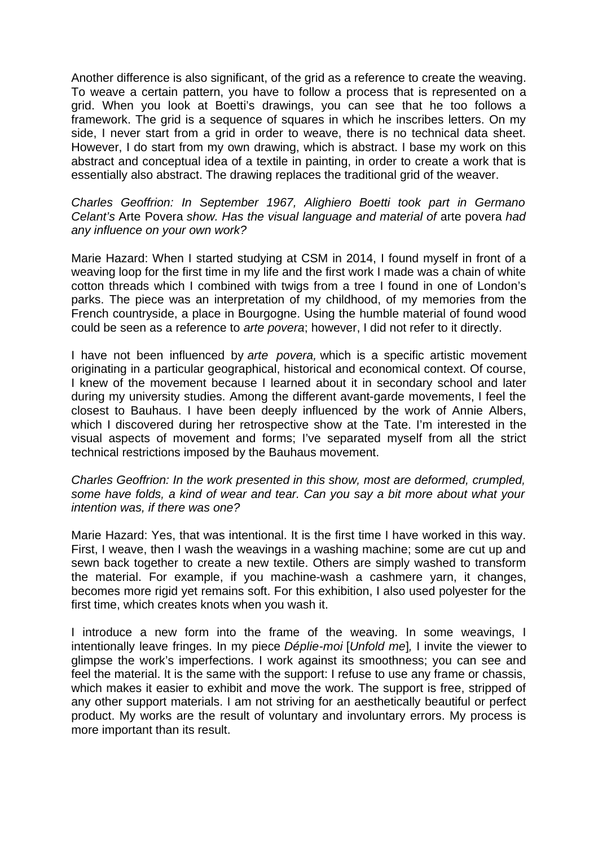Another difference is also significant, of the grid as a reference to create the weaving. To weave a certain pattern, you have to follow a process that is represented on a grid. When you look at Boetti's drawings, you can see that he too follows a framework. The grid is a sequence of squares in which he inscribes letters. On my side, I never start from a grid in order to weave, there is no technical data sheet. However, I do start from my own drawing, which is abstract. I base my work on this abstract and conceptual idea of a textile in painting, in order to create a work that is essentially also abstract. The drawing replaces the traditional grid of the weaver.

# *Charles Geoffrion: In September 1967, Alighiero Boetti took part in Germano Celant's* Arte Povera *show. Has the visual language and material of* arte povera *had any influence on your own work?*

Marie Hazard: When I started studying at CSM in 2014, I found myself in front of a weaving loop for the first time in my life and the first work I made was a chain of white cotton threads which I combined with twigs from a tree I found in one of London's parks. The piece was an interpretation of my childhood, of my memories from the French countryside, a place in Bourgogne. Using the humble material of found wood could be seen as a reference to *arte povera*; however, I did not refer to it directly.

I have not been influenced by *arte povera,* which is a specific artistic movement originating in a particular geographical, historical and economical context. Of course, I knew of the movement because I learned about it in secondary school and later during my university studies. Among the different avant-garde movements, I feel the closest to Bauhaus. I have been deeply influenced by the work of Annie Albers, which I discovered during her retrospective show at the Tate. I'm interested in the visual aspects of movement and forms; I've separated myself from all the strict technical restrictions imposed by the Bauhaus movement.

# *Charles Geoffrion: In the work presented in this show, most are deformed, crumpled, some have folds, a kind of wear and tear. Can you say a bit more about what your intention was, if there was one?*

Marie Hazard: Yes, that was intentional. It is the first time I have worked in this way. First, I weave, then I wash the weavings in a washing machine; some are cut up and sewn back together to create a new textile. Others are simply washed to transform the material. For example, if you machine-wash a cashmere yarn, it changes, becomes more rigid yet remains soft. For this exhibition, I also used polyester for the first time, which creates knots when you wash it.

I introduce a new form into the frame of the weaving. In some weavings, I intentionally leave fringes. In my piece *Déplie-moi* [*Unfold me*]*,* I invite the viewer to glimpse the work's imperfections. I work against its smoothness; you can see and feel the material. It is the same with the support: I refuse to use any frame or chassis, which makes it easier to exhibit and move the work. The support is free, stripped of any other support materials. I am not striving for an aesthetically beautiful or perfect product. My works are the result of voluntary and involuntary errors. My process is more important than its result.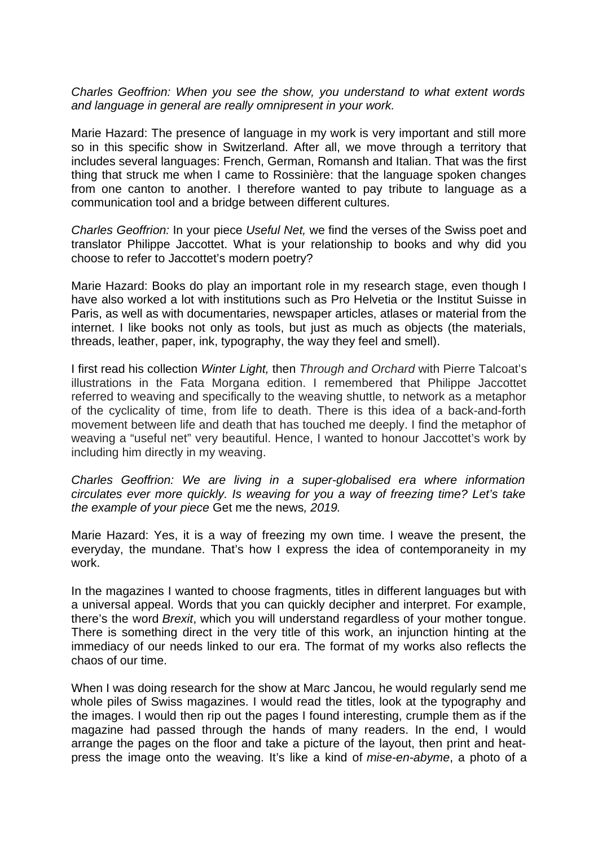*Charles Geoffrion: When you see the show, you understand to what extent words and language in general are really omnipresent in your work.* 

Marie Hazard: The presence of language in my work is very important and still more so in this specific show in Switzerland. After all, we move through a territory that includes several languages: French, German, Romansh and Italian. That was the first thing that struck me when I came to Rossinière: that the language spoken changes from one canton to another. I therefore wanted to pay tribute to language as a communication tool and a bridge between different cultures.

*Charles Geoffrion:* In your piece *Useful Net,* we find the verses of the Swiss poet and translator Philippe Jaccottet. What is your relationship to books and why did you choose to refer to Jaccottet's modern poetry?

Marie Hazard: Books do play an important role in my research stage, even though I have also worked a lot with institutions such as Pro Helvetia or the Institut Suisse in Paris, as well as with documentaries, newspaper articles, atlases or material from the internet. I like books not only as tools, but just as much as objects (the materials, threads, leather, paper, ink, typography, the way they feel and smell).

I first read his collection *Winter Light,* then *Through and Orchard* with Pierre Talcoat's illustrations in the Fata Morgana edition. I remembered that Philippe Jaccottet referred to weaving and specifically to the weaving shuttle, to network as a metaphor of the cyclicality of time, from life to death. There is this idea of a back-and-forth movement between life and death that has touched me deeply. I find the metaphor of weaving a "useful net" very beautiful. Hence, I wanted to honour Jaccottet's work by including him directly in my weaving.

*Charles Geoffrion: We are living in a super-globalised era where information circulates ever more quickly. Is weaving for you a way of freezing time? Let's take the example of your piece* Get me the news*, 2019.* 

Marie Hazard: Yes, it is a way of freezing my own time. I weave the present, the everyday, the mundane. That's how I express the idea of contemporaneity in my work.

In the magazines I wanted to choose fragments, titles in different languages but with a universal appeal. Words that you can quickly decipher and interpret. For example, there's the word *Brexit*, which you will understand regardless of your mother tongue. There is something direct in the very title of this work, an injunction hinting at the immediacy of our needs linked to our era. The format of my works also reflects the chaos of our time.

When I was doing research for the show at Marc Jancou, he would regularly send me whole piles of Swiss magazines. I would read the titles, look at the typography and the images. I would then rip out the pages I found interesting, crumple them as if the magazine had passed through the hands of many readers. In the end, I would arrange the pages on the floor and take a picture of the layout, then print and heatpress the image onto the weaving. It's like a kind of *mise-en-abyme*, a photo of a